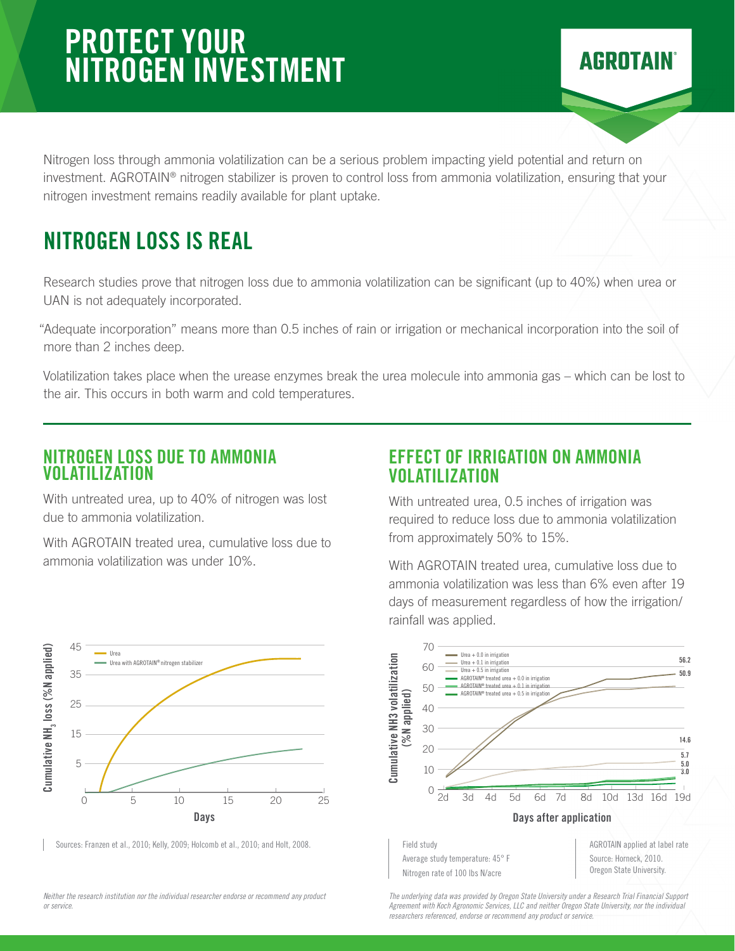# PROTECT YOUR NITROGEN INVESTMENT

Nitrogen loss through ammonia volatilization can be a serious problem impacting yield potential and return on investment. AGROTAIN® nitrogen stabilizer is proven to control loss from ammonia volatilization, ensuring that your nitrogen investment remains readily available for plant uptake.

## NITROGEN LOSS IS REAL

Research studies prove that nitrogen loss due to ammonia volatilization can be significant (up to 40%) when urea or UAN is not adequately incorporated.

"Adequate incorporation" means more than 0.5 inches of rain or irrigation or mechanical incorporation into the soil of more than 2 inches deep.

Volatilization takes place when the urease enzymes break the urea molecule into ammonia gas – which can be lost to the air. This occurs in both warm and cold temperatures.

#### NITROGEN LOSS DUE TO AMMONIA VOLATILIZATION

With untreated urea, up to 40% of nitrogen was lost due to ammonia volatilization.

With AGROTAIN treated urea, cumulative loss due to ammonia volatilization was under 10%.



With untreated urea, 0.5 inches of irrigation was required to reduce loss due to ammonia volatilization from approximately 50% to 15%.

**AGROTAIN** 

With AGROTAIN treated urea, cumulative loss due to ammonia volatilization was less than 6% even after 19 days of measurement regardless of how the irrigation/ rainfall was applied.



Sources: Franzen et al., 2010; Kelly, 2009; Holcomb et al., 2010; and Holt, 2008.

*Neither the research institution nor the individual researcher endorse or recommend any product or service.*



*The underlying data was provided by Oregon State University under a Research Trial Financial Support Agreement with Koch Agronomic Services, LLC and neither Oregon State University, nor the individual researchers referenced, endorse or recommend any product or service.*